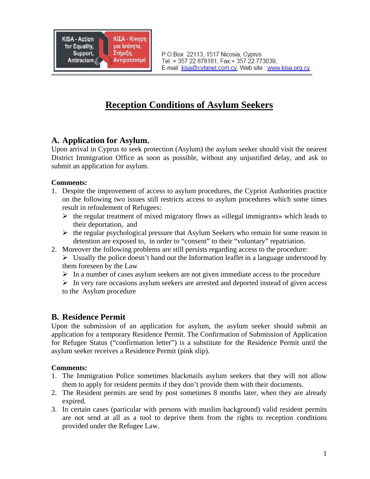

# **Reception Conditions of Asylum Seekers**

### **A. Application for Asylum.**

Upon arrival in Cyprus to seek protection (Asylum) the asylum seeker should visit the nearest District Immigration Office as soon as possible, without any unjustified delay, and ask to submit an application for asylum.

#### **Comments:**

- 1. Despite the improvement of access to asylum procedures, the Cypriot Authorities practice on the following two issues still restricts access to asylum procedures which some times result in refoulement of Refugees:
	- $\triangleright$  the regular treatment of mixed migratory flows as «illegal immigrants» which leads to their deportation, and
	- $\triangleright$  the regular psychological pressure that Asylum Seekers who remain for some reason in detention are exposed to, in order to "consent" to their "voluntary" repatriation.
- 2. Moreover the following problems are still persists regarding access to the procedure:
	- $\triangleright$  Usually the police doesn't hand out the Information leaflet in a language understood by them foreseen by the Law
	- $\triangleright$  In a number of cases asylum seekers are not given immediate access to the procedure
	- $\triangleright$  In very rare occasions asylum seekers are arrested and deported instead of given access to the Asylum procedure

# **B. Residence Permit**

Upon the submission of an application for asylum, the asylum seeker should submit an application for a temporary Residence Permit. The Confirmation of Submission of Application for Refugee Status ("confirmation letter") is a substitute for the Residence Permit until the asylum seeker receives a Residence Permit (pink slip).

#### **Comments:**

- 1. The Immigration Police sometimes blackmails asylum seekers that they will not allow them to apply for resident permits if they don't provide them with their documents.
- 2. The Resident permits are send by post sometimes 8 months later, when they are already expired.
- 3. In certain cases (particular with persons with muslim background) valid resident permits are not send at all as a tool to deprive them from the rights to reception conditions provided under the Refugee Law.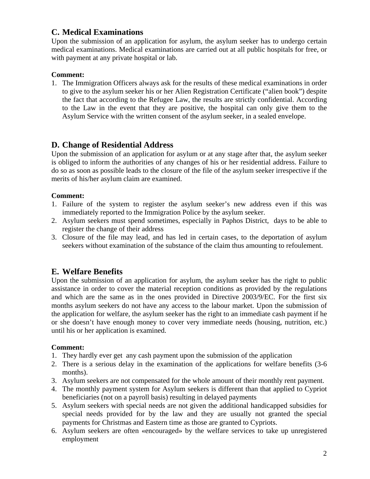# **C. Medical Examinations**

Upon the submission of an application for asylum, the asylum seeker has to undergo certain medical examinations. Medical examinations are carried out at all public hospitals for free, or with payment at any private hospital or lab.

#### **Comment:**

1. The Immigration Officers always ask for the results of these medical examinations in order to give to the asylum seeker his or her Alien Registration Certificate ("alien book") despite the fact that according to the Refugee Law, the results are strictly confidential. According to the Law in the event that they are positive, the hospital can only give them to the Asylum Service with the written consent of the asylum seeker, in a sealed envelope.

# **D. Change of Residential Address**

Upon the submission of an application for asylum or at any stage after that, the asylum seeker is obliged to inform the authorities of any changes of his or her residential address. Failure to do so as soon as possible leads to the closure of the file of the asylum seeker irrespective if the merits of his/her asylum claim are examined.

#### **Comment:**

- 1. Failure of the system to register the asylum seeker's new address even if this was immediately reported to the Immigration Police by the asylum seeker.
- 2. Asylum seekers must spend sometimes, especially in Paphos District, days to be able to register the change of their address
- 3. Closure of the file may lead, and has led in certain cases, to the deportation of asylum seekers without examination of the substance of the claim thus amounting to refoulement.

### **E. Welfare Benefits**

Upon the submission of an application for asylum, the asylum seeker has the right to public assistance in order to cover the material reception conditions as provided by the regulations and which are the same as in the ones provided in Directive 2003/9/EC. For the first six months asylum seekers do not have any access to the labour market. Upon the submission of the application for welfare, the asylum seeker has the right to an immediate cash payment if he or she doesn't have enough money to cover very immediate needs (housing, nutrition, etc.) until his or her application is examined.

#### **Comment:**

- 1. They hardly ever get any cash payment upon the submission of the application
- 2. There is a serious delay in the examination of the applications for welfare benefits (3-6 months).
- 3. Asylum seekers are not compensated for the whole amount of their monthly rent payment.
- 4. The monthly payment system for Asylum seekers is different than that applied to Cypriot beneficiaries (not on a payroll basis) resulting in delayed payments
- 5. Asylum seekers with special needs are not given the additional handicapped subsidies for special needs provided for by the law and they are usually not granted the special payments for Christmas and Eastern time as those are granted to Cypriots.
- 6. Asylum seekers are often «encouraged» by the welfare services to take up unregistered employment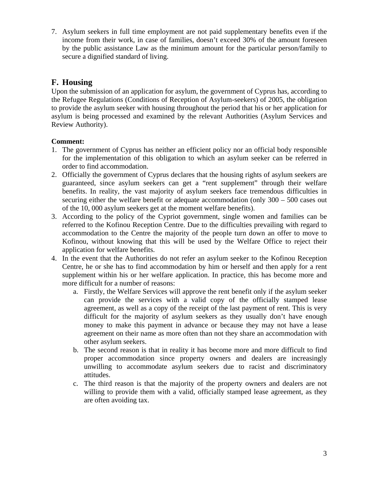7. Asylum seekers in full time employment are not paid supplementary benefits even if the income from their work, in case of families, doesn't exceed 30% of the amount foreseen by the public assistance Law as the minimum amount for the particular person/family to secure a dignified standard of living.

# **F. Housing**

Upon the submission of an application for asylum, the government of Cyprus has, according to the Refugee Regulations (Conditions of Reception of Asylum-seekers) of 2005, the obligation to provide the asylum seeker with housing throughout the period that his or her application for asylum is being processed and examined by the relevant Authorities (Asylum Services and Review Authority).

#### **Comment:**

- 1. The government of Cyprus has neither an efficient policy nor an official body responsible for the implementation of this obligation to which an asylum seeker can be referred in order to find accommodation.
- 2. Officially the government of Cyprus declares that the housing rights of asylum seekers are guaranteed, since asylum seekers can get a "rent supplement" through their welfare benefits. In reality, the vast majority of asylum seekers face tremendous difficulties in securing either the welfare benefit or adequate accommodation (only 300 – 500 cases out of the 10, 000 asylum seekers get at the moment welfare benefits).
- 3. According to the policy of the Cypriot government, single women and families can be referred to the Kofinou Reception Centre. Due to the difficulties prevailing with regard to accommodation to the Centre the majority of the people turn down an offer to move to Kofinou, without knowing that this will be used by the Welfare Office to reject their application for welfare benefits.
- 4. In the event that the Authorities do not refer an asylum seeker to the Kofinou Reception Centre, he or she has to find accommodation by him or herself and then apply for a rent supplement within his or her welfare application. In practice, this has become more and more difficult for a number of reasons:
	- a. Firstly, the Welfare Services will approve the rent benefit only if the asylum seeker can provide the services with a valid copy of the officially stamped lease agreement, as well as a copy of the receipt of the last payment of rent. This is very difficult for the majority of asylum seekers as they usually don't have enough money to make this payment in advance or because they may not have a lease agreement on their name as more often than not they share an accommodation with other asylum seekers.
	- b. The second reason is that in reality it has become more and more difficult to find proper accommodation since property owners and dealers are increasingly unwilling to accommodate asylum seekers due to racist and discriminatory attitudes.
	- c. The third reason is that the majority of the property owners and dealers are not willing to provide them with a valid, officially stamped lease agreement, as they are often avoiding tax.